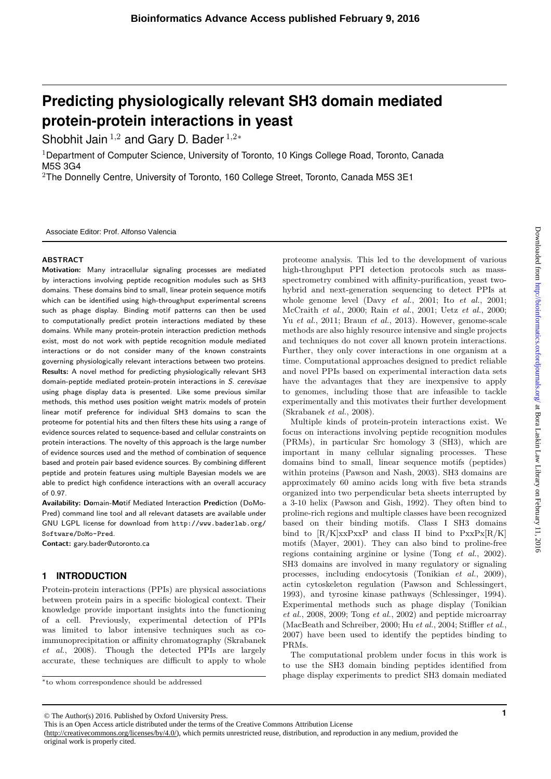# **Predicting physiologically relevant SH3 domain mediated protein-protein interactions in yeast**

Shobhit Jain <sup>1</sup>*,*<sup>2</sup> and Gary D. Bader <sup>1</sup>*,*2*<sup>∗</sup>*

<sup>1</sup>Department of Computer Science, University of Toronto, 10 Kings College Road, Toronto, Canada M5S 3G4

 $2$ The Donnelly Centre, University of Toronto, 160 College Street, Toronto, Canada M5S 3E1

Associate Editor: Prof. Alfonso Valencia

### **ABSTRACT**

**Motivation:** Many intracellular signaling processes are mediated by interactions involving peptide recognition modules such as SH3 domains. These domains bind to small, linear protein sequence motifs which can be identified using high-throughput experimental screens such as phage display. Binding motif patterns can then be used to computationally predict protein interactions mediated by these domains. While many protein-protein interaction prediction methods exist, most do not work with peptide recognition module mediated interactions or do not consider many of the known constraints governing physiologically relevant interactions between two proteins. **Results:** A novel method for predicting physiologically relevant SH3 domain-peptide mediated protein-protein interactions in S. cerevisae using phage display data is presented. Like some previous similar methods, this method uses position weight matrix models of protein linear motif preference for individual SH3 domains to scan the proteome for potential hits and then filters these hits using a range of evidence sources related to sequence-based and cellular constraints on protein interactions. The novelty of this approach is the large number of evidence sources used and the method of combination of sequence based and protein pair based evidence sources. By combining different peptide and protein features using multiple Bayesian models we are able to predict high confidence interactions with an overall accuracy of 0.97.

**Availability: Do**main-**Mo**tif Mediated Interaction **Pred**iction (DoMo-Pred) command line tool and all relevant datasets are available under GNU LGPL license for download from http://www.baderlab.org/ Software/DoMo-Pred.

**Contact:** gary.bader@utoronto.ca

# **1 INTRODUCTION**

Protein-protein interactions (PPIs) are physical associations between protein pairs in a specific biological context. Their knowledge provide important insights into the functioning of a cell. Previously, experimental detection of PPIs was limited to labor intensive techniques such as coimmunoprecipitation or affinity chromatography (Skrabanek *et al.*, 2008). Though the detected PPIs are largely accurate, these techniques are difficult to apply to whole

*∗*to whom correspondence should be addressed

© The Author(s) 2016. Published by Oxford University Press. This is an Open Access article distributed under the terms of the Creative Commons Attribution License

(http://creativecommons.org/licenses/by/4.0/), which permits unrestricted reuse, distribution, and reproduction in any medium, provided the original work is properly cited.

proteome analysis. This led to the development of various high-throughput PPI detection protocols such as massspectrometry combined with affinity-purification, yeast twohybrid and next-generation sequencing to detect PPIs at whole genome level (Davy *et al.*, 2001; Ito *et al.*, 2001; McCraith *et al.*, 2000; Rain *et al.*, 2001; Uetz *et al.*, 2000; Yu *et al.*, 2011; Braun *et al.*, 2013). However, genome-scale methods are also highly resource intensive and single projects and techniques do not cover all known protein interactions. Further, they only cover interactions in one organism at a time. Computational approaches designed to predict reliable and novel PPIs based on experimental interaction data sets have the advantages that they are inexpensive to apply to genomes, including those that are infeasible to tackle experimentally and this motivates their further development (Skrabanek *et al.*, 2008).

Multiple kinds of protein-protein interactions exist. We focus on interactions involving peptide recognition modules (PRMs), in particular Src homology 3 (SH3), which are important in many cellular signaling processes. These domains bind to small, linear sequence motifs (peptides) within proteins (Pawson and Nash, 2003). SH3 domains are approximately 60 amino acids long with five beta strands organized into two perpendicular beta sheets interrupted by a 3-10 helix (Pawson and Gish, 1992). They often bind to proline-rich regions and multiple classes have been recognized based on their binding motifs. Class I SH3 domains bind to  $[R/K]xxPxxP$  and class II bind to  $PxxPx[R/K]$ motifs (Mayer, 2001). They can also bind to proline-free regions containing arginine or lysine (Tong *et al.*, 2002). SH3 domains are involved in many regulatory or signaling processes, including endocytosis (Tonikian *et al.*, 2009), actin cytoskeleton regulation (Pawson and Schlessingert, 1993), and tyrosine kinase pathways (Schlessinger, 1994). Experimental methods such as phage display (Tonikian *et al.*, 2008, 2009; Tong *et al.*, 2002) and peptide microarray (MacBeath and Schreiber, 2000; Hu *et al.*, 2004; Stiffler *et al.*, 2007) have been used to identify the peptides binding to PRMs.

The computational problem under focus in this work is to use the SH3 domain binding peptides identified from phage display experiments to predict SH3 domain mediated

**<sup>1</sup>**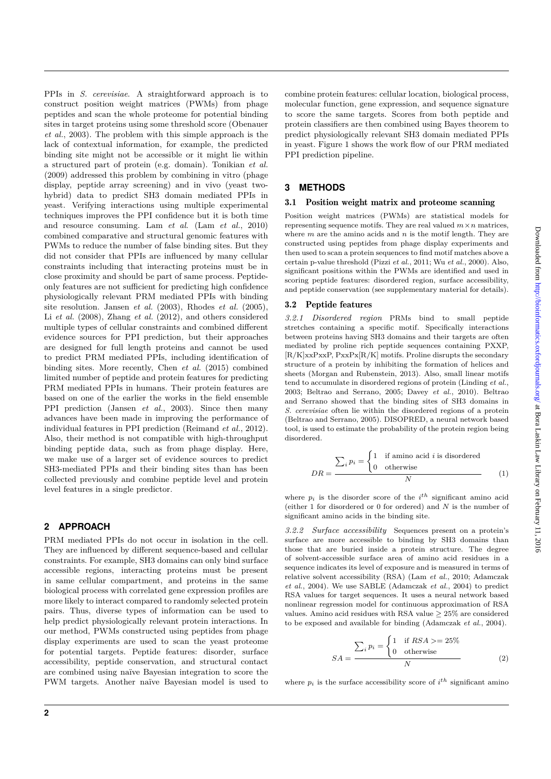PPIs in *S. cerevisiae*. A straightforward approach is to construct position weight matrices (PWMs) from phage peptides and scan the whole proteome for potential binding sites in target proteins using some threshold score (Obenauer *et al.*, 2003). The problem with this simple approach is the lack of contextual information, for example, the predicted binding site might not be accessible or it might lie within a structured part of protein (e.g. domain). Tonikian *et al.* (2009) addressed this problem by combining in vitro (phage display, peptide array screening) and in vivo (yeast twohybrid) data to predict SH3 domain mediated PPIs in yeast. Verifying interactions using multiple experimental techniques improves the PPI confidence but it is both time and resource consuming. Lam *et al*. (Lam *et al.*, 2010) combined comparative and structural genomic features with PWMs to reduce the number of false binding sites. But they did not consider that PPIs are influenced by many cellular constraints including that interacting proteins must be in close proximity and should be part of same process. Peptideonly features are not sufficient for predicting high confidence physiologically relevant PRM mediated PPIs with binding site resolution. Jansen *et al.* (2003), Rhodes *et al.* (2005), Li *et al.* (2008), Zhang *et al.* (2012), and others considered multiple types of cellular constraints and combined different evidence sources for PPI prediction, but their approaches are designed for full length proteins and cannot be used to predict PRM mediated PPIs, including identification of binding sites. More recently, Chen *et al.* (2015) combined limited number of peptide and protein features for predicting PRM mediated PPIs in humans. Their protein features are based on one of the earlier the works in the field ensemble PPI prediction (Jansen *et al.*, 2003). Since then many advances have been made in improving the performance of individual features in PPI prediction (Reimand *et al.*, 2012). Also, their method is not compatible with high-throughput binding peptide data, such as from phage display. Here, we make use of a larger set of evidence sources to predict SH3-mediated PPIs and their binding sites than has been collected previously and combine peptide level and protein level features in a single predictor.

# **2 APPROACH**

PRM mediated PPIs do not occur in isolation in the cell. They are influenced by different sequence-based and cellular constraints. For example, SH3 domains can only bind surface accessible regions, interacting proteins must be present in same cellular compartment, and proteins in the same biological process with correlated gene expression profiles are more likely to interact compared to randomly selected protein pairs. Thus, diverse types of information can be used to help predict physiologically relevant protein interactions. In our method, PWMs constructed using peptides from phage display experiments are used to scan the yeast proteome for potential targets. Peptide features: disorder, surface accessibility, peptide conservation, and structural contact are combined using na¨ıve Bayesian integration to score the PWM targets. Another naïve Bayesian model is used to combine protein features: cellular location, biological process, molecular function, gene expression, and sequence signature to score the same targets. Scores from both peptide and protein classifiers are then combined using Bayes theorem to predict physiologically relevant SH3 domain mediated PPIs in yeast. Figure 1 shows the work flow of our PRM mediated PPI prediction pipeline.

# **3 METHODS**

#### 3.1 Position weight matrix and proteome scanning

Position weight matrices (PWMs) are statistical models for representing sequence motifs. They are real valued  $m \times n$  matrices, where *m* are the amino acids and *n* is the motif length. They are constructed using peptides from phage display experiments and then used to scan a protein sequences to find motif matches above a certain p-value threshold (Pizzi *et al.*, 2011; Wu *et al.*, 2000). Also, significant positions within the PWMs are identified and used in scoring peptide features: disordered region, surface accessibility, and peptide conservation (see supplementary material for details).

#### 3.2 Peptide features

*3.2.1 Disordered region* PRMs bind to small peptide stretches containing a specific motif. Specifically interactions between proteins having SH3 domains and their targets are often mediated by proline rich peptide sequences containing PXXP,  $[R/K]$ xxPxxP, PxxPx $[R/K]$  motifs. Proline disrupts the secondary structure of a protein by inhibiting the formation of helices and sheets (Morgan and Rubenstein, 2013). Also, small linear motifs tend to accumulate in disordered regions of protein (Linding *et al.*, 2003; Beltrao and Serrano, 2005; Davey *et al.*, 2010). Beltrao and Serrano showed that the binding sites of SH3 domains in *S. cerevisiae* often lie within the disordered regions of a protein (Beltrao and Serrano, 2005). DISOPRED, a neural network based tool, is used to estimate the probability of the protein region being disordered.

$$
DR = \frac{\sum_{i} p_i = \begin{cases} 1 & \text{if amino acid } i \text{ is disordered} \\ 0 & \text{otherwise} \end{cases}}{N} \tag{1}
$$

where  $p_i$  is the disorder score of the  $i^{th}$  significant amino acid (either 1 for disordered or 0 for ordered) and *N* is the number of significant amino acids in the binding site.

*3.2.2 Surface accessibility* Sequences present on a protein's surface are more accessible to binding by SH3 domains than those that are buried inside a protein structure. The degree of solvent-accessible surface area of amino acid residues in a sequence indicates its level of exposure and is measured in terms of relative solvent accessibility (RSA) (Lam *et al.*, 2010; Adamczak *et al.*, 2004). We use SABLE (Adamczak *et al.*, 2004) to predict RSA values for target sequences. It uses a neural network based nonlinear regression model for continuous approximation of RSA values. Amino acid residues with RSA value  $\geq 25\%$  are considered to be exposed and available for binding (Adamczak *et al.*, 2004).

$$
SA = \frac{\sum_{i} p_i = \begin{cases} 1 & \text{if } RSA >= 25\% \\ 0 & \text{otherwise} \end{cases}}{N}
$$
 (2)

where  $p_i$  is the surface accessibility score of  $i^{th}$  significant amino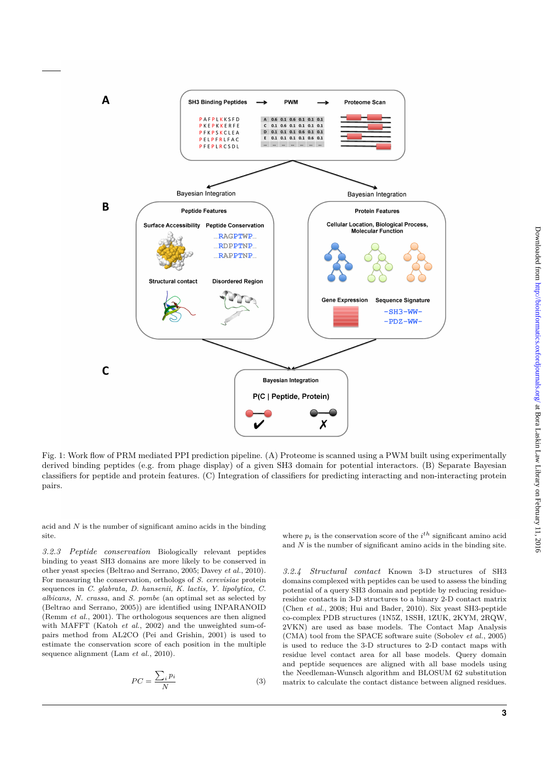

Fig. 1: Work flow of PRM mediated PPI prediction pipeline. (A) Proteome is scanned using a PWM built using experimentally derived binding peptides (e.g. from phage display) of a given SH3 domain for potential interactors. (B) Separate Bayesian classifiers for peptide and protein features. (C) Integration of classifiers for predicting interacting and non-interacting protein pairs.

acid and *N* is the number of significant amino acids in the binding site.

*3.2.3 Peptide conservation* Biologically relevant peptides binding to yeast SH3 domains are more likely to be conserved in other yeast species (Beltrao and Serrano, 2005; Davey *et al.*, 2010). For measuring the conservation, orthologs of *S. cerevisiae* protein sequences in *C. glabrata, D. hansenii, K. lactis, Y. lipolytica, C. albicans, N. crassa*, and *S. pombe* (an optimal set as selected by (Beltrao and Serrano, 2005)) are identified using INPARANOID (Remm *et al.*, 2001). The orthologous sequences are then aligned with MAFFT (Katoh *et al.*, 2002) and the unweighted sum-ofpairs method from AL2CO (Pei and Grishin, 2001) is used to estimate the conservation score of each position in the multiple sequence alignment (Lam *et al.*, 2010).

$$
PC = \frac{\sum_{i} p_i}{N} \tag{3}
$$

where  $p_i$  is the conservation score of the  $i^{th}$  significant amino acid and *N* is the number of significant amino acids in the binding site.

*3.2.4 Structural contact* Known 3-D structures of SH3 domains complexed with peptides can be used to assess the binding potential of a query SH3 domain and peptide by reducing residueresidue contacts in 3-D structures to a binary 2-D contact matrix (Chen *et al.*, 2008; Hui and Bader, 2010). Six yeast SH3-peptide co-complex PDB structures (1N5Z, 1SSH, 1ZUK, 2KYM, 2RQW, 2VKN) are used as base models. The Contact Map Analysis (CMA) tool from the SPACE software suite (Sobolev *et al.*, 2005) is used to reduce the 3-D structures to 2-D contact maps with residue level contact area for all base models. Query domain and peptide sequences are aligned with all base models using the Needleman-Wunsch algorithm and BLOSUM 62 substitution matrix to calculate the contact distance between aligned residues.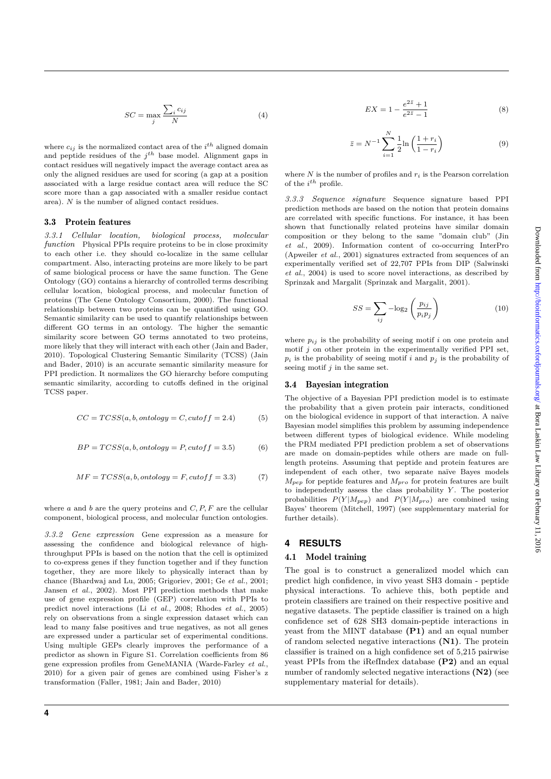where  $c_{ij}$  is the normalized contact area of the  $i^{th}$  aligned domain and peptide residues of the *j th* base model. Alignment gaps in contact residues will negatively impact the average contact area as only the aligned residues are used for scoring (a gap at a position associated with a large residue contact area will reduce the SC score more than a gap associated with a smaller residue contact area). *N* is the number of aligned contact residues.

#### 3.3 Protein features

*3.3.1 Cellular location, biological process, molecular function* Physical PPIs require proteins to be in close proximity to each other i.e. they should co-localize in the same cellular compartment. Also, interacting proteins are more likely to be part of same biological process or have the same function. The Gene Ontology (GO) contains a hierarchy of controlled terms describing cellular location, biological process, and molecular function of proteins (The Gene Ontology Consortium, 2000). The functional relationship between two proteins can be quantified using GO. Semantic similarity can be used to quantify relationships between different GO terms in an ontology. The higher the semantic similarity score between GO terms annotated to two proteins, more likely that they will interact with each other (Jain and Bader, 2010). Topological Clustering Semantic Similarity (TCSS) (Jain and Bader, 2010) is an accurate semantic similarity measure for PPI prediction. It normalizes the GO hierarchy before computing semantic similarity, according to cutoffs defined in the original TCSS paper.

$$
CC = TCSS(a, b, ontology = C, cutoff = 2.4)
$$
 (5)

$$
BP = TCSS(a, b, ontology = P, cutoff = 3.5)
$$
 (6)

$$
MF = TCSS(a, b, ontology = F, cutoff = 3.3)
$$
\n(7)

where *a* and *b* are the query proteins and *C, P, F* are the cellular component, biological process, and molecular function ontologies.

*3.3.2 Gene expression* Gene expression as a measure for assessing the confidence and biological relevance of highthroughput PPIs is based on the notion that the cell is optimized to co-express genes if they function together and if they function together, they are more likely to physically interact than by chance (Bhardwaj and Lu, 2005; Grigoriev, 2001; Ge *et al.*, 2001; Jansen *et al.*, 2002). Most PPI prediction methods that make use of gene expression profile (GEP) correlation with PPIs to predict novel interactions (Li *et al.*, 2008; Rhodes *et al.*, 2005) rely on observations from a single expression dataset which can lead to many false positives and true negatives, as not all genes are expressed under a particular set of experimental conditions. Using multiple GEPs clearly improves the performance of a predictor as shown in Figure S1. Correlation coefficients from 86 gene expression profiles from GeneMANIA (Warde-Farley *et al.*, 2010) for a given pair of genes are combined using Fisher's z transformation (Faller, 1981; Jain and Bader, 2010)

**4**

$$
EX = 1 - \frac{e^{2\bar{z}} + 1}{e^{2\bar{z}} - 1}
$$
 (8)

$$
\bar{z} = N^{-1} \sum_{i=1}^{N} \frac{1}{2} \ln \left( \frac{1 + r_i}{1 - r_i} \right)
$$
(9)

where  $N$  is the number of profiles and  $r_i$  is the Pearson correlation of the *i th* profile.

*3.3.3 Sequence signature* Sequence signature based PPI prediction methods are based on the notion that protein domains are correlated with specific functions. For instance, it has been shown that functionally related proteins have similar domain composition or they belong to the same "domain club" (Jin *et al.*, 2009). Information content of co-occurring InterPro (Apweiler *et al.*, 2001) signatures extracted from sequences of an experimentally verified set of 22,707 PPIs from DIP (Salwinski *et al.*, 2004) is used to score novel interactions, as described by Sprinzak and Margalit (Sprinzak and Margalit, 2001).

$$
SS = \sum_{ij} -\log_2\left(\frac{p_{ij}}{p_i p_j}\right) \tag{10}
$$

where  $p_{ij}$  is the probability of seeing motif *i* on one protein and motif *j* on other protein in the experimentally verified PPI set,  $p_i$  is the probability of seeing motif *i* and  $p_j$  is the probability of seeing motif *j* in the same set.

#### 3.4 Bayesian integration

The objective of a Bayesian PPI prediction model is to estimate the probability that a given protein pair interacts, conditioned on the biological evidence in support of that interaction. A naïve Bayesian model simplifies this problem by assuming independence between different types of biological evidence. While modeling the PRM mediated PPI prediction problem a set of observations are made on domain-peptides while others are made on fulllength proteins. Assuming that peptide and protein features are independent of each other, two separate naïve Bayes models *Mpep* for peptide features and *Mpro* for protein features are built to independently assess the class probability *Y* . The posterior probabilities  $P(Y|M_{pep})$  and  $P(Y|M_{pro})$  are combined using Bayes' theorem (Mitchell, 1997) (see supplementary material for further details).

# **4 RESULTS**

#### 4.1 Model training

The goal is to construct a generalized model which can predict high confidence, in vivo yeast SH3 domain - peptide physical interactions. To achieve this, both peptide and protein classifiers are trained on their respective positive and negative datasets. The peptide classifier is trained on a high confidence set of 628 SH3 domain-peptide interactions in yeast from the MINT database **(P1)** and an equal number of random selected negative interactions **(N1)**. The protein classifier is trained on a high confidence set of 5,215 pairwise yeast PPIs from the iRefIndex database **(P2)** and an equal number of randomly selected negative interactions **(N2)** (see supplementary material for details).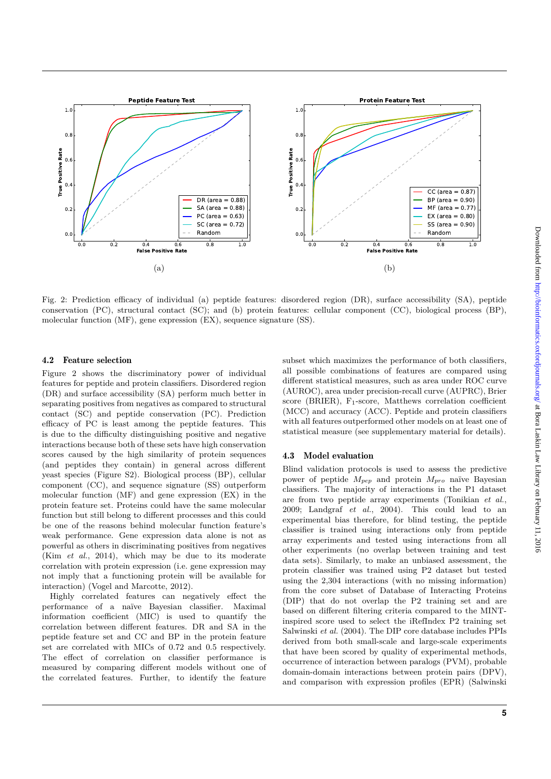

Fig. 2: Prediction efficacy of individual (a) peptide features: disordered region (DR), surface accessibility (SA), peptide conservation (PC), structural contact (SC); and (b) protein features: cellular component (CC), biological process (BP), molecular function (MF), gene expression (EX), sequence signature (SS).

#### 4.2 Feature selection

Figure 2 shows the discriminatory power of individual features for peptide and protein classifiers. Disordered region (DR) and surface accessibility (SA) perform much better in separating positives from negatives as compared to structural contact (SC) and peptide conservation (PC). Prediction efficacy of PC is least among the peptide features. This is due to the difficulty distinguishing positive and negative interactions because both of these sets have high conservation scores caused by the high similarity of protein sequences (and peptides they contain) in general across different yeast species (Figure S2). Biological process (BP), cellular component (CC), and sequence signature (SS) outperform molecular function (MF) and gene expression (EX) in the protein feature set. Proteins could have the same molecular function but still belong to different processes and this could be one of the reasons behind molecular function feature's weak performance. Gene expression data alone is not as powerful as others in discriminating positives from negatives (Kim *et al.*, 2014), which may be due to its moderate correlation with protein expression (i.e. gene expression may not imply that a functioning protein will be available for interaction) (Vogel and Marcotte, 2012).

Highly correlated features can negatively effect the performance of a na¨ıve Bayesian classifier. Maximal information coefficient (MIC) is used to quantify the correlation between different features. DR and SA in the peptide feature set and CC and BP in the protein feature set are correlated with MICs of 0*.*72 and 0*.*5 respectively. The effect of correlation on classifier performance is measured by comparing different models without one of the correlated features. Further, to identify the feature subset which maximizes the performance of both classifiers, all possible combinations of features are compared using different statistical measures, such as area under ROC curve (AUROC), area under precision-recall curve (AUPRC), Brier score (BRIER),  $F_1$ -score, Matthews correlation coefficient (MCC) and accuracy (ACC). Peptide and protein classifiers with all features outperformed other models on at least one of statistical measure (see supplementary material for details).

#### 4.3 Model evaluation

Blind validation protocols is used to assess the predictive power of peptide *Mpep* and protein *Mpro* na¨ıve Bayesian classifiers. The majority of interactions in the P1 dataset are from two peptide array experiments (Tonikian *et al.*, 2009; Landgraf *et al.*, 2004). This could lead to an experimental bias therefore, for blind testing, the peptide classifier is trained using interactions only from peptide array experiments and tested using interactions from all other experiments (no overlap between training and test data sets). Similarly, to make an unbiased assessment, the protein classifier was trained using P2 dataset but tested using the 2,304 interactions (with no missing information) from the core subset of Database of Interacting Proteins (DIP) that do not overlap the P2 training set and are based on different filtering criteria compared to the MINTinspired score used to select the iRefIndex P2 training set Salwinski *et al.* (2004). The DIP core database includes PPIs derived from both small-scale and large-scale experiments that have been scored by quality of experimental methods, occurrence of interaction between paralogs (PVM), probable domain-domain interactions between protein pairs (DPV), and comparison with expression profiles (EPR) (Salwinski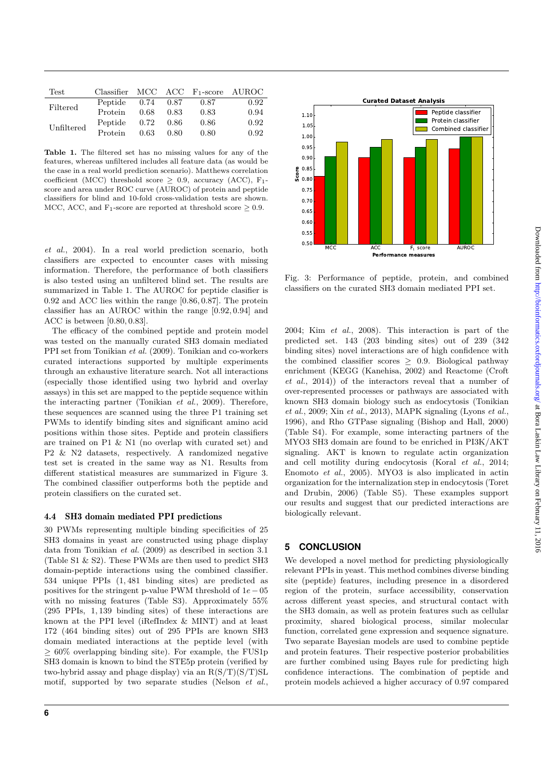| Test       |         |      |      | Classifier $MCC$ $ACC$ $F_1-score$ $AUROC$ |      |
|------------|---------|------|------|--------------------------------------------|------|
| Filtered   | Peptide | 0.74 | 0.87 | 0.87                                       | 0.92 |
|            | Protein | 0.68 | 0.83 | 0.83                                       | 0.94 |
| Unfiltered | Peptide | 0.72 | 0.86 | 0.86                                       | 0.92 |
|            | Protein | 0.63 | 0.80 | 0.80                                       | 0.92 |

**Table 1.** The filtered set has no missing values for any of the features, whereas unfiltered includes all feature data (as would be the case in a real world prediction scenario). Matthews correlation coefficient (MCC) threshold score *≥* 0*.*9, accuracy (ACC), F1 score and area under ROC curve (AUROC) of protein and peptide classifiers for blind and 10-fold cross-validation tests are shown. MCC, ACC, and  $F_1$ -score are reported at threshold score  $\geq 0.9$ .

*et al.*, 2004). In a real world prediction scenario, both classifiers are expected to encounter cases with missing information. Therefore, the performance of both classifiers is also tested using an unfiltered blind set. The results are summarized in Table 1. The AUROC for peptide clasifier is 0*.*92 and ACC lies within the range [0*.*86*,* 0*.*87]. The protein classifier has an AUROC within the range [0*.*92*,* 0*.*94] and ACC is between [0*.*80*,* 0*.*83].

The efficacy of the combined peptide and protein model was tested on the manually curated SH3 domain mediated PPI set from Tonikian *et al.* (2009). Tonikian and co-workers curated interactions supported by multiple experiments through an exhaustive literature search. Not all interactions (especially those identified using two hybrid and overlay assays) in this set are mapped to the peptide sequence within the interacting partner (Tonikian *et al.*, 2009). Therefore, these sequences are scanned using the three P1 training set PWMs to identify binding sites and significant amino acid positions within those sites. Peptide and protein classifiers are trained on P1 & N1 (no overlap with curated set) and P2 & N2 datasets, respectively. A randomized negative test set is created in the same way as N1. Results from different statistical measures are summarized in Figure 3. The combined classifier outperforms both the peptide and protein classifiers on the curated set.

#### 4.4 SH3 domain mediated PPI predictions

30 PWMs representing multiple binding specificities of 25 SH3 domains in yeast are constructed using phage display data from Tonikian *et al.* (2009) as described in section 3.1 (Table S1 & S2). These PWMs are then used to predict SH3 domain-peptide interactions using the combined classifier. 534 unique PPIs (1*,* 481 binding sites) are predicted as positives for the stringent p-value PWM threshold of 1*e−*05 with no missing features (Table S3). Approximately 55% (295 PPIs, 1*,* 139 binding sites) of these interactions are known at the PPI level (iRefIndex & MINT) and at least 172 (464 binding sites) out of 295 PPIs are known SH3 domain mediated interactions at the peptide level (with *≥* 60% overlapping binding site). For example, the FUS1p SH3 domain is known to bind the STE5p protein (verified by two-hybrid assay and phage display) via an  $R(S/T)(S/T)SL$ motif, supported by two separate studies (Nelson *et al.*,



Fig. 3: Performance of peptide, protein, and combined classifiers on the curated SH3 domain mediated PPI set.

2004; Kim *et al.*, 2008). This interaction is part of the predicted set. 143 (203 binding sites) out of 239 (342 binding sites) novel interactions are of high confidence with the combined classifier scores *≥* 0*.*9. Biological pathway enrichment (KEGG (Kanehisa, 2002) and Reactome (Croft *et al.*, 2014)) of the interactors reveal that a number of over-represented processes or pathways are associated with known SH3 domain biology such as endocytosis (Tonikian *et al.*, 2009; Xin *et al.*, 2013), MAPK signaling (Lyons *et al.*, 1996), and Rho GTPase signaling (Bishop and Hall, 2000) (Table S4). For example, some interacting partners of the MYO3 SH3 domain are found to be enriched in PI3K/AKT signaling. AKT is known to regulate actin organization and cell motility during endocytosis (Koral *et al.*, 2014; Enomoto *et al.*, 2005). MYO3 is also implicated in actin organization for the internalization step in endocytosis (Toret and Drubin, 2006) (Table S5). These examples support our results and suggest that our predicted interactions are biologically relevant.

# **5 CONCLUSION**

We developed a novel method for predicting physiologically relevant PPIs in yeast. This method combines diverse binding site (peptide) features, including presence in a disordered region of the protein, surface accessibility, conservation across different yeast species, and structural contact with the SH3 domain, as well as protein features such as cellular proximity, shared biological process, similar molecular function, correlated gene expression and sequence signature. Two separate Bayesian models are used to combine peptide and protein features. Their respective posterior probabilities are further combined using Bayes rule for predicting high confidence interactions. The combination of peptide and protein models achieved a higher accuracy of 0.97 compared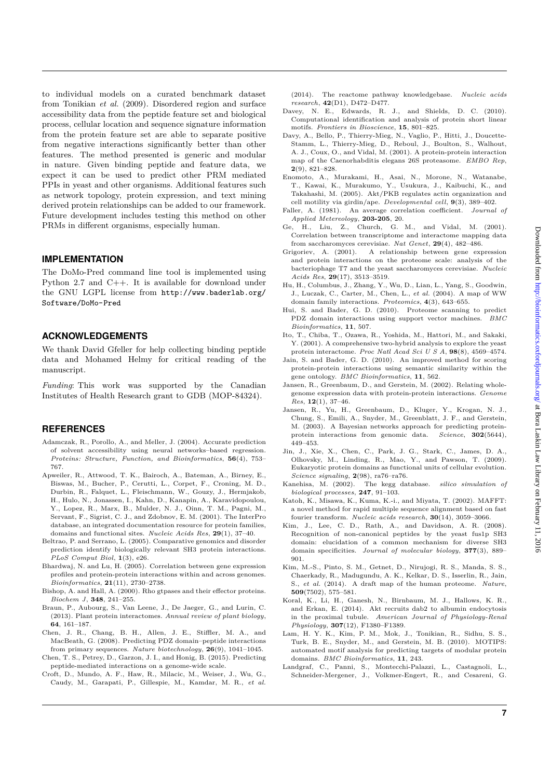to individual models on a curated benchmark dataset from Tonikian *et al.* (2009). Disordered region and surface accessibility data from the peptide feature set and biological process, cellular location and sequence signature information from the protein feature set are able to separate positive from negative interactions significantly better than other features. The method presented is generic and modular in nature. Given binding peptide and feature data, we expect it can be used to predict other PRM mediated PPIs in yeast and other organisms. Additional features such as network topology, protein expression, and text mining derived protein relationships can be added to our framework. Future development includes testing this method on other PRMs in different organisms, especially human.

## **IMPLEMENTATION**

The DoMo-Pred command line tool is implemented using Python 2.7 and C++. It is available for download under the GNU LGPL license from http://www.baderlab.org/ Software/DoMo-Pred

### **ACKNOWLEDGEMENTS**

We thank David Gfeller for help collecting binding peptide data and Mohamed Helmy for critical reading of the manuscript.

*Funding*: This work was supported by the Canadian Institutes of Health Research grant to GDB (MOP-84324).

# **REFERENCES**

- Adamczak, R., Porollo, A., and Meller, J. (2004). Accurate prediction of solvent accessibility using neural networks–based regression. *Proteins: Structure, Function, and Bioinformatics*, **56**(4), 753– 767.
- Apweiler, R., Attwood, T. K., Bairoch, A., Bateman, A., Birney, E., Biswas, M., Bucher, P., Cerutti, L., Corpet, F., Croning, M. D., Durbin, R., Falquet, L., Fleischmann, W., Gouzy, J., Hermjakob, H., Hulo, N., Jonassen, I., Kahn, D., Kanapin, A., Karavidopoulou, Y., Lopez, R., Marx, B., Mulder, N. J., Oinn, T. M., Pagni, M., Servant, F., Sigrist, C. J., and Zdobnov, E. M. (2001). The InterPro database, an integrated documentation resource for protein families, domains and functional sites. *Nucleic Acids Res*, **29**(1), 37–40.
- Beltrao, P. and Serrano, L. (2005). Comparative genomics and disorder prediction identify biologically relevant SH3 protein interactions. *PLoS Comput Biol*, **1**(3), e26.
- Bhardwaj, N. and Lu, H. (2005). Correlation between gene expression profiles and protein-protein interactions within and across genomes. *Bioinformatics*, **21**(11), 2730–2738.
- Bishop, A. and Hall, A. (2000). Rho gtpases and their effector proteins. *Biochem J*, **348**, 241–255.
- Braun, P., Aubourg, S., Van Leene, J., De Jaeger, G., and Lurin, C. (2013). Plant protein interactomes. *Annual review of plant biology*, **64**, 161–187.
- Chen, J. R., Chang, B. H., Allen, J. E., Stiffler, M. A., and MacBeath, G. (2008). Predicting PDZ domain–peptide interactions from primary sequences. *Nature biotechnology*, **26**(9), 1041–1045.
- Chen, T. S., Petrey, D., Garzon, J. I., and Honig, B. (2015). Predicting peptide-mediated interactions on a genome-wide scale.
- Croft, D., Mundo, A. F., Haw, R., Milacic, M., Weiser, J., Wu, G., Caudy, M., Garapati, P., Gillespie, M., Kamdar, M. R., *et al.*

(2014). The reactome pathway knowledgebase. *Nucleic acids research*, **42**(D1), D472–D477.

- Davey, N. E., Edwards, R. J., and Shields, D. C. (2010). Computational identification and analysis of protein short linear motifs. *Frontiers in Bioscience*, **15**, 801–825.
- Davy, A., Bello, P., Thierry-Mieg, N., Vaglio, P., Hitti, J., Doucette-Stamm, L., Thierry-Mieg, D., Reboul, J., Boulton, S., Walhout, A. J., Coux, O., and Vidal, M. (2001). A protein-protein interaction map of the Caenorhabditis elegans 26S proteasome. *EMBO Rep*, **2**(9), 821–828.
- Enomoto, A., Murakami, H., Asai, N., Morone, N., Watanabe, T., Kawai, K., Murakumo, Y., Usukura, J., Kaibuchi, K., and Takahashi, M. (2005). Akt/PKB regulates actin organization and cell motility via girdin/ape. *Developmental cell*, **9**(3), 389-402.
- Faller, A. (1981). An average correlation coefficient. *Journal of Applied Metereology*, **203-205**, 20.
- Ge, H., Liu, Z., Church, G. M., and Vidal, M. (2001). Correlation between transcriptome and interactome mapping data from saccharomyces cerevisiae. *Nat Genet*, **29**(4), 482–486.
- Grigoriev, A. (2001). A relationship between gene expression and protein interactions on the proteome scale: analysis of the bacteriophage T7 and the yeast saccharomyces cerevisiae. *Nucleic Acids Res*, **29**(17), 3513–3519.
- Hu, H., Columbus, J., Zhang, Y., Wu, D., Lian, L., Yang, S., Goodwin, J., Luczak, C., Carter, M., Chen, L., *et al.* (2004). A map of WW domain family interactions. *Proteomics*, **4**(3), 643–655.
- Hui, S. and Bader, G. D. (2010). Proteome scanning to predict PDZ domain interactions using support vector machines. *BMC Bioinformatics*, **11**, 507.
- Ito, T., Chiba, T., Ozawa, R., Yoshida, M., Hattori, M., and Sakaki, Y. (2001). A comprehensive two-hybrid analysis to explore the yeast protein interactome. *Proc Natl Acad Sci U S A*, **98**(8), 4569–4574.
- Jain, S. and Bader, G. D. (2010). An improved method for scoring protein-protein interactions using semantic similarity within the gene ontology. *BMC Bioinformatics*, **11**, 562.
- Jansen, R., Greenbaum, D., and Gerstein, M. (2002). Relating wholegenome expression data with protein-protein interactions. *Genome Res*, **12**(1), 37–46.
- Jansen, R., Yu, H., Greenbaum, D., Kluger, Y., Krogan, N. J., Chung, S., Emili, A., Snyder, M., Greenblatt, J. F., and Gerstein, M. (2003). A Bayesian networks approach for predicting proteinprotein interactions from genomic data. *Science*, **302**(5644), 449–453.
- Jin, J., Xie, X., Chen, C., Park, J. G., Stark, C., James, D. A., Olhovsky, M., Linding, R., Mao, Y., and Pawson, T. (2009). Eukaryotic protein domains as functional units of cellular evolution. *Science signaling*, **2**(98), ra76–ra76.
- Kanehisa, M. (2002). The kegg database. *silico simulation of biological processes*, **247**, 91–103.
- Katoh, K., Misawa, K., Kuma, K.-i., and Miyata, T. (2002). MAFFT: a novel method for rapid multiple sequence alignment based on fast fourier transform. *Nucleic acids research*, **30**(14), 3059–3066.
- Kim, J., Lee, C. D., Rath, A., and Davidson, A. R. (2008). Recognition of non-canonical peptides by the yeast fus1p SH3 domain: elucidation of a common mechanism for diverse SH3 domain specificities. *Journal of molecular biology*, **377**(3), 889– 901.
- Kim, M.-S., Pinto, S. M., Getnet, D., Nirujogi, R. S., Manda, S. S., Chaerkady, R., Madugundu, A. K., Kelkar, D. S., Isserlin, R., Jain, S., *et al.* (2014). A draft map of the human proteome. *Nature*, **509**(7502), 575–581.
- Koral, K., Li, H., Ganesh, N., Birnbaum, M. J., Hallows, K. R., and Erkan, E. (2014). Akt recruits dab2 to albumin endocytosis in the proximal tubule. *American Journal of Physiology-Renal Physiology*, **307**(12), F1380–F1389.
- Lam, H. Y. K., Kim, P. M., Mok, J., Tonikian, R., Sidhu, S. S., Turk, B. E., Snyder, M., and Gerstein, M. B. (2010). MOTIPS: automated motif analysis for predicting targets of modular protein domains. *BMC Bioinformatics*, **11**, 243.
- Landgraf, C., Panni, S., Montecchi-Palazzi, L., Castagnoli, L., Schneider-Mergener, J., Volkmer-Engert, R., and Cesareni, G.